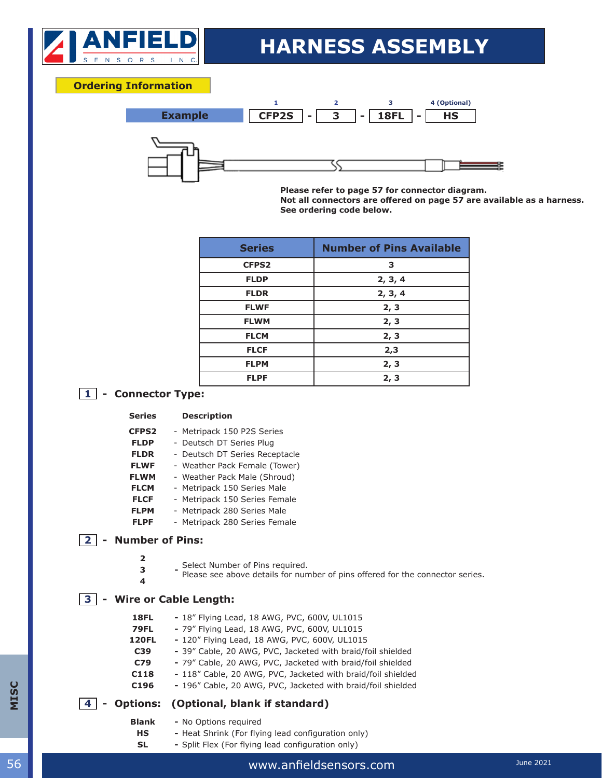

## **HARNESS ASSEMBLY**

#### **Ordering Information**



**Please refer to page 57 for connector diagram. Not all connectors are offered on page 57 are available as a harness. See ordering code below.** 

| <b>Series</b> | <b>Number of Pins Available</b> |  |
|---------------|---------------------------------|--|
| <b>CFPS2</b>  | 3                               |  |
| <b>FLDP</b>   | 2, 3, 4                         |  |
| <b>FLDR</b>   | 2, 3, 4                         |  |
| <b>FLWF</b>   | 2, 3                            |  |
| <b>FLWM</b>   | 2, 3                            |  |
| <b>FLCM</b>   | 2, 3                            |  |
| <b>FLCF</b>   | 2,3                             |  |
| <b>FLPM</b>   | 2, 3                            |  |
| <b>FLPF</b>   | 2, 3                            |  |

### **1 - Connector Type:**

#### **Series Description**

- **CFPS2** Metripack 150 P2S Series
- **FLDP** Deutsch DT Series Plug
- **FLDR** Deutsch DT Series Receptacle
- **FLWF** Weather Pack Female (Tower)
- **FLWM** Weather Pack Male (Shroud)
- **FLCM** Metripack 150 Series Male
- **FLCF** Metripack 150 Series Female
- **FLPM** Metripack 280 Series Male
- **FLPF** Metripack 280 Series Female

#### **2 - Number of Pins:**

- **2**
	- **-** Select Number of Pins required.
- <sup>2</sup> Please see above details for number of pins offered for the connector series. **4**

#### **3 - Wire or Cable Length:**

- **18FL -** 18" Flying Lead, 18 AWG, PVC, 600V, UL1015
- **79FL -** 79" Flying Lead, 18 AWG, PVC, 600V, UL1015
- **120FL -** 120" Flying Lead, 18 AWG, PVC, 600V, UL1015
- **C39 -** 39" Cable, 20 AWG, PVC, Jacketed with braid/foil shielded
- **C79 -** 79" Cable, 20 AWG, PVC, Jacketed with braid/foil shielded
- **C118 -** 118" Cable, 20 AWG, PVC, Jacketed with braid/foil shielded
- **C196 -** 196" Cable, 20 AWG, PVC, Jacketed with braid/foil shielded

### **4 - Options: (Optional, blank if standard)**

- **Blank -** No Options required
- **HS -** Heat Shrink (For flying lead configuration only)
- **SL -** Split Flex (For flying lead configuration only)